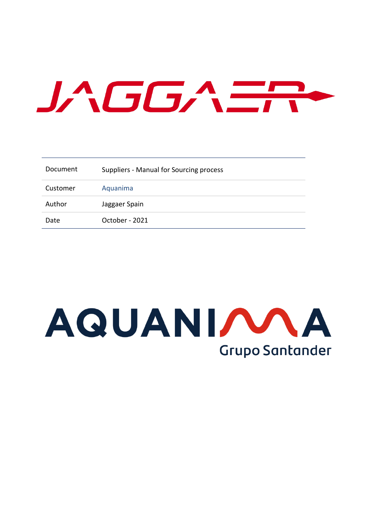# JAGGA ER

| Document | Suppliers - Manual for Sourcing process |
|----------|-----------------------------------------|
| Customer | Aquanima                                |
| Author   | Jaggaer Spain                           |
| Date     | October - 2021                          |

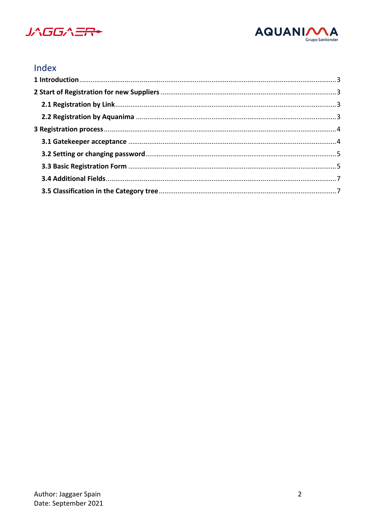



# Index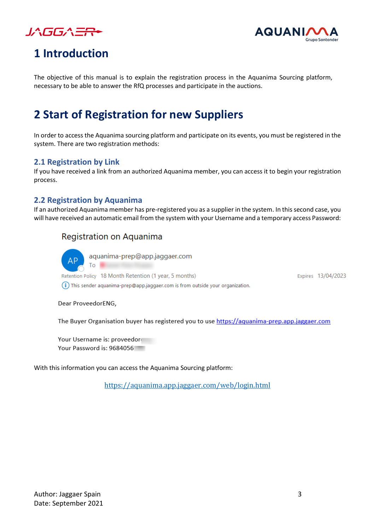



# <span id="page-2-0"></span>**1 Introduction**

The objective of this manual is to explain the registration process in the Aquanima Sourcing platform, necessary to be able to answer the RfQ processes and participate in the auctions.

# <span id="page-2-1"></span>**2 Start of Registration for new Suppliers**

In order to access the Aquanima sourcing platform and participate on its events, you must be registered in the system. There are two registration methods:

# <span id="page-2-2"></span>**2.1 Registration by Link**

If you have received a link from an authorized Aquanima member, you can access it to begin your registration process.

# <span id="page-2-3"></span>**2.2 Registration by Aquanima**

If an authorized Aquanima member has pre-registered you as a supplier in the system. In this second case, you will have received an automatic email from the system with your Username and a temporary access Password:

# Registration on Aquanima



aquanima-prep@app.jaggaer.com

Retention Policy 18 Month Retention (1 year, 5 months)

(i) This sender aquanima-prep@app.jaggaer.com is from outside your organization.

Expires 13/04/2023

Dear ProveedorENG,

To

The Buyer Organisation buyer has registered you to use https://aquanima-prep.app.jaggaer.com

Your Username is: proveedor Your Password is: 9684056

With this information you can access the Aquanima Sourcing platform:

<https://aquanima.app.jaggaer.com/web/login.html>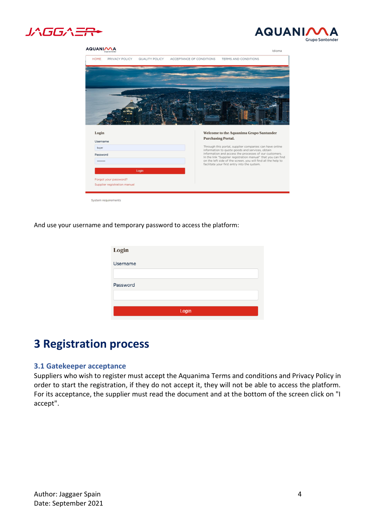



#### AQUANIMA



And use your username and temporary password to access the platform:

| Login    |       |
|----------|-------|
| Username |       |
|          |       |
| Password |       |
|          |       |
|          | Login |
|          |       |

# <span id="page-3-0"></span>**3 Registration process**

## <span id="page-3-1"></span>**3.1 Gatekeeper acceptance**

Suppliers who wish to register must accept the Aquanima Terms and conditions and Privacy Policy in order to start the registration, if they do not accept it, they will not be able to access the platform. For its acceptance, the supplier must read the document and at the bottom of the screen click on "I accept".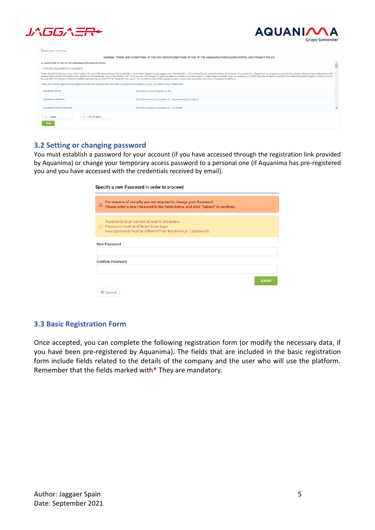



| <b>Download in PDF format</b>                                                                                                                                                                                                                                                                                                                                                                                                                                                                                                                                                                                                                                                 |                                                                 |                          |  |  |
|-------------------------------------------------------------------------------------------------------------------------------------------------------------------------------------------------------------------------------------------------------------------------------------------------------------------------------------------------------------------------------------------------------------------------------------------------------------------------------------------------------------------------------------------------------------------------------------------------------------------------------------------------------------------------------|-----------------------------------------------------------------|--------------------------|--|--|
| GENERAL TERMS AND CONDITIONS OF THE EVO GROUPCONDITIONS OF USE OF THE AOUANIMA PURCHASING PORTAL AND PRIVACY POLICY                                                                                                                                                                                                                                                                                                                                                                                                                                                                                                                                                           |                                                                 |                          |  |  |
| A. CONDITIONS OF USE OF THE AQUANIMA PURCHASING PORTAL                                                                                                                                                                                                                                                                                                                                                                                                                                                                                                                                                                                                                        | Ô                                                               |                          |  |  |
| 1. PURPOSE AND OWNER OF THE WEBSITE                                                                                                                                                                                                                                                                                                                                                                                                                                                                                                                                                                                                                                           |                                                                 |                          |  |  |
| These General Conditions of Use ("GCU") govern the use of the Aquanima purchasing website or portal https://aquanima.app.jaggaer.com ("the Website" or "Purchasing Portal") owned by Ibérica de Compras Corporativas S.L. ("Aq<br>Madrid notary Antonio Fernández-Golfin Aparicio on 29 September 2000, under number 2,931 of his records. The company's registered office is at Edificio Arrecife, Planta 0, Ciudad Grupo Santander, Avda. de Cantabria s/n, 28<br>Book 0, Folio 151, Section 8, Sheet M-269630, and holds tax no. B-82797713. These GCU also govern the conditions under which registered users ("users") can access the services on the Aquanima platform. |                                                                 |                          |  |  |
| These GCU will also apply to the arrangement of services requested by users from companies in the Aquanima Group ("Aquanima Group") listed below:                                                                                                                                                                                                                                                                                                                                                                                                                                                                                                                             |                                                                 |                          |  |  |
| <b>AQUANIMA SPAIN</b>                                                                                                                                                                                                                                                                                                                                                                                                                                                                                                                                                                                                                                                         | Ibérica de Compras Corporativas, S.L.                           |                          |  |  |
| AOUANIMA GERMANY                                                                                                                                                                                                                                                                                                                                                                                                                                                                                                                                                                                                                                                              | Ibérica De Compras Corporativas, S.L. Niederlassung Deutschland |                          |  |  |
| AQUANIMA UNITED KINGDOM                                                                                                                                                                                                                                                                                                                                                                                                                                                                                                                                                                                                                                                       | Ibérica De Compras Corporativas, S.L. UK Branch                 | $\overline{\phantom{a}}$ |  |  |
| $\bigcap$ lagree<br>do not agree<br><b>Next</b>                                                                                                                                                                                                                                                                                                                                                                                                                                                                                                                                                                                                                               |                                                                 |                          |  |  |

### <span id="page-4-0"></span>**3.2 Setting or changing password**

You must establish a password for your account (if you have accessed through the registration link provided by Aquanima) or change your temporary access password to a personal one (if Aquanima has pre-registered you and you have accessed with the credentials received by email).

| Specify a new Password in order to proceed                                                                                                                |
|-----------------------------------------------------------------------------------------------------------------------------------------------------------|
| For reasons of security you are required to change your Password.<br>Please enter a new Password in the fields below, and click "Submit" to continue.     |
| Passwords must contain at least 8 characters<br>(i) Password must be different from login<br>New password must be different from the previous 1 passwords |
| <b>New Password</b>                                                                                                                                       |
| <b>Confirm Password</b>                                                                                                                                   |
| <b>Submit</b><br>X Cancel                                                                                                                                 |

## <span id="page-4-1"></span>**3.3 Basic Registration Form**

Once accepted, you can complete the following registration form (or modify the necessary data, if you have been pre-registered by Aquanima). The fields that are included in the basic registration form include fields related to the details of the company and the user who will use the platform. Remember that the fields marked with**\*** They are mandatory.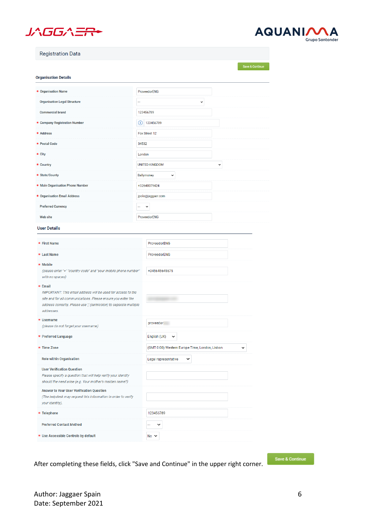



| <b>Registration Data</b>                                                                                                                                                                                                  |        |                                                               |
|---------------------------------------------------------------------------------------------------------------------------------------------------------------------------------------------------------------------------|--------|---------------------------------------------------------------|
| <b>Organisation Details</b>                                                                                                                                                                                               |        | Save & Continue                                               |
| * Organisation Name                                                                                                                                                                                                       |        | <b>ProveedorENG</b>                                           |
| <b>Organisation Legal Structure</b>                                                                                                                                                                                       |        | $\check{ }$                                                   |
| <b>Commercial brand</b>                                                                                                                                                                                                   |        | 123456789                                                     |
| * Company Registration Number                                                                                                                                                                                             | O      | 123456789                                                     |
| * Address                                                                                                                                                                                                                 |        | Fox Street 12                                                 |
| * Postal Code                                                                                                                                                                                                             | 34532  |                                                               |
| * City                                                                                                                                                                                                                    | London |                                                               |
| * Country                                                                                                                                                                                                                 |        | <b>UNITED KINGDOM</b><br>$\check{}$                           |
| * State/County                                                                                                                                                                                                            |        | Ballymoney<br>$\check{ }$                                     |
| * Main Organisation Phone Number                                                                                                                                                                                          |        | +32640079424                                                  |
| * Organisation Email Address                                                                                                                                                                                              |        | jpolo@jaggaer.com                                             |
| <b>Preferred Currency</b>                                                                                                                                                                                                 |        |                                                               |
| <b>Web site</b>                                                                                                                                                                                                           |        | ProveedorENG                                                  |
| <b>User Details</b>                                                                                                                                                                                                       |        |                                                               |
|                                                                                                                                                                                                                           |        |                                                               |
| * First Name                                                                                                                                                                                                              |        | ProveedorENG                                                  |
| * Last Name                                                                                                                                                                                                               |        | ProveedorENG                                                  |
| * Mobile<br>(please enter "+" "country code" and "your mobile phone number"<br>with no spaces)                                                                                                                            |        | +345645645675                                                 |
| * Email<br>IMPORTANT: This email address will be used for access to the<br>site and for all communications. Please ensure you enter the<br>address correctly. Please use " (semicolon) to separate multiple<br>addresses. |        |                                                               |
| * Username<br>(please do not forget your username)                                                                                                                                                                        |        | proveedor                                                     |
| <b>★ Preferred Language</b>                                                                                                                                                                                               |        | English (UK)<br>v                                             |
| * Time Zone                                                                                                                                                                                                               |        | (GMT 0:00) Western Europe Time, London, Lisbon<br>$\check{ }$ |
| <b>Role within Organisation</b>                                                                                                                                                                                           |        | Legal representative<br>v                                     |
| <b>User Verification Question</b><br>Please specify a question that will help verify your identity<br>should the need arise (e.g. Your mother's maiden name?)                                                             |        |                                                               |
| <b>Answer to Your User Verification Question</b><br>(The helpdesk may request this information in order to verify<br>your identity).                                                                                      |        |                                                               |
| * Telephone                                                                                                                                                                                                               |        | 123456789                                                     |
| <b>Preferred Contact Method</b>                                                                                                                                                                                           |        |                                                               |
| * Use Accessible Controls by default                                                                                                                                                                                      |        | No Y                                                          |

After completing these fields, click "Save and Continue" in the upper right corner.

Save & Continue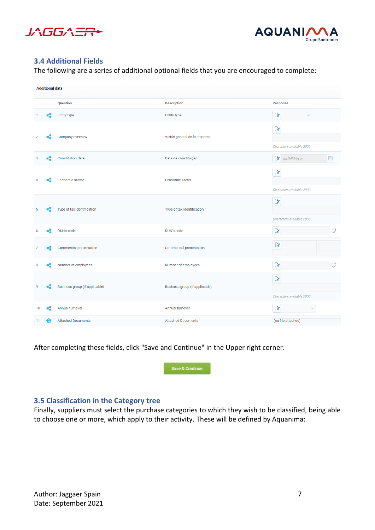



## <span id="page-6-0"></span>**3.4 Additional Fields**

The following are a series of additional optional fields that you are encouraged to complete:

|    | <b>Additional data</b> |                                |                                |                                           |
|----|------------------------|--------------------------------|--------------------------------|-------------------------------------------|
|    |                        | Question                       | <b>Description</b>             | <b>Response</b>                           |
|    |                        | <b>Entity type</b>             | <b>Entity type</b>             | $\alpha$<br>$\sim$                        |
|    |                        | Company overview               | Visión general de la empresa   | $\mathbf{r}$<br>Characters available 2000 |
| 3  |                        | <b>Constitution date</b>       | Data de constituição           | dd/MM/yyyy<br>圖                           |
|    |                        | Economic sector                | Economic sector                | $\mathbf{r}$<br>Characters available 2000 |
| 5  |                        | Type of tax identification     | Type of tax identification     | $\mathbf{r}$<br>Characters available 2000 |
|    |                        | DUN's code                     | DUN's code                     | $\overset{123}{\checkmark}$<br>$\alpha$   |
|    |                        | Commercial presentation        | Commercial presentation        | $\mathbf{r}$                              |
| 8  |                        | Number of employees            | Number of employees            | $\overset{123}{\checkmark}$<br>$\alpha$   |
| ۹  |                        | Business group (if applicable) | Business group (if applicable) | $\mathbf{r}$<br>Characters available 2000 |
| 10 |                        | Annual turnover                | Annual turnover                | $\alpha$<br>$\sim$                        |
| 11 | :O                     | <b>Attached Documents</b>      | <b>Attached Documents</b>      | (no file attached)                        |

After completing these fields, click "Save and Continue" in the Upper right corner.



# <span id="page-6-1"></span>**3.5 Classification in the Category tree**

Finally, suppliers must select the purchase categories to which they wish to be classified, being able to choose one or more, which apply to their activity. These will be defined by Aquanima: